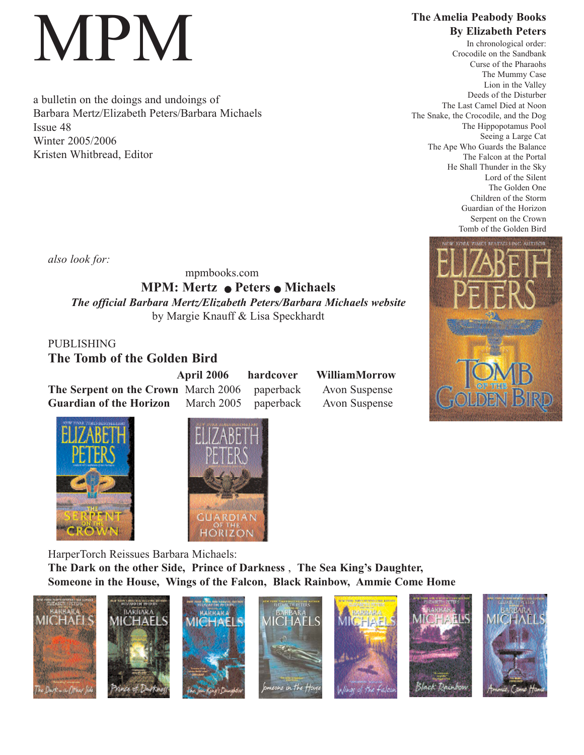## MPM

a bulletin on the doings and undoings of Barbara Mertz/Elizabeth Peters/Barbara Michaels Issue 48 Winter 2005/2006 Kristen Whitbread, Editor

**The Amelia Peabody Books By Elizabeth Peters**

In chronological order: Crocodile on the Sandbank Curse of the Pharaohs The Mummy Case Lion in the Valley Deeds of the Disturber The Last Camel Died at Noon The Snake, the Crocodile, and the Dog The Hippopotamus Pool Seeing a Large Cat The Ape Who Guards the Balance The Falcon at the Portal He Shall Thunder in the Sky Lord of the Silent The Golden One Children of the Storm Guardian of the Horizon Serpent on the Crown Tomb of the Golden Bird

*also look for:*

## mpmbooks.com **MPM: Mertz • Peters • Michaels** *The official Barbara Mertz/Elizabeth Peters/Barbara Michaels website* by Margie Knauff & Lisa Speckhardt

PUBLISHING **The Tomb of the Golden Bird** 

**April 2006 hardcover WilliamMorrow The Serpent on the Crown** March 2006 paperback Avon Suspense **Guardian of the Horizon** March 2005 paperback Avon Suspense







HarperTorch Reissues Barbara Michaels: **The Dark on the other Side, Prince of Darkness** , **The Sea King's Daughter, Someone in the House, Wings of the Falcon, Black Rainbow, Ammie Come Home**

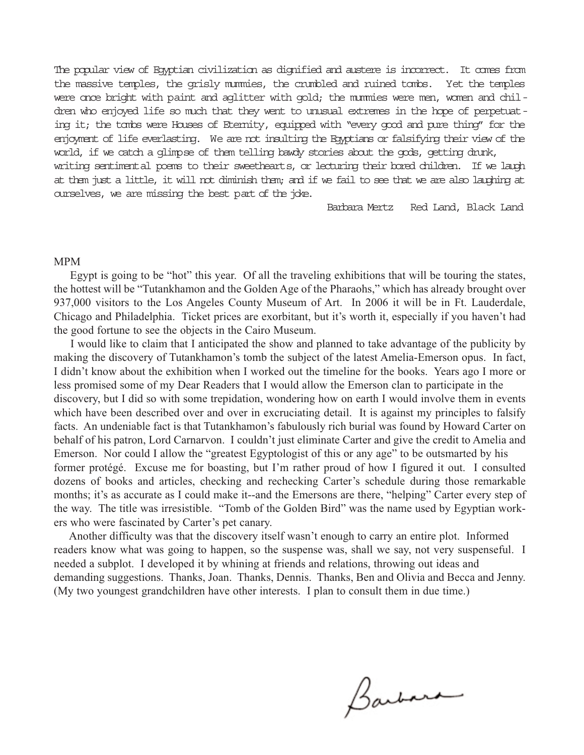The popular view of Egyptian civilization as dignified and austere is incorrect. It comes from the massive temples, the grisly mummies, the crumbled and ruined tombs. Yet the temples were once bright with paint and aglitter with gold; the mummies were men, women and children who enjoyed life so much that they went to unusual extremes in the hope of perpetuating it; the tombs were Houses of Eternity, equipped with "every good and pure thing" for the enjoyment of life everlasting. We are not insulting the Egyptians or falsifying their view of the world, if we catch a glimpse of them telling bawdy stories about the gods, getting drunk, writing sentimental poems to their sweethearts, or lecturing their bored children. If we laugh

at them just a little, it will not diminish them; and if we fail to see that we are also laughing at ourselves, we are missing the best part of the joke.

Barbara Mertz Red Land, Black Land

## MPM

Egypt is going to be "hot" this year. Of all the traveling exhibitions that will be touring the states, the hottest will be "Tutankhamon and the Golden Age of the Pharaohs," which has already brought over 937,000 visitors to the Los Angeles County Museum of Art. In 2006 it will be in Ft. Lauderdale, Chicago and Philadelphia. Ticket prices are exorbitant, but it's worth it, especially if you haven't had the good fortune to see the objects in the Cairo Museum.

I would like to claim that I anticipated the show and planned to take advantage of the publicity by making the discovery of Tutankhamon's tomb the subject of the latest Amelia-Emerson opus. In fact, I didn't know about the exhibition when I worked out the timeline for the books. Years ago I more or less promised some of my Dear Readers that I would allow the Emerson clan to participate in the discovery, but I did so with some trepidation, wondering how on earth I would involve them in events which have been described over and over in excruciating detail. It is against my principles to falsify facts. An undeniable fact is that Tutankhamon's fabulously rich burial was found by Howard Carter on behalf of his patron, Lord Carnarvon. I couldn't just eliminate Carter and give the credit to Amelia and Emerson. Nor could I allow the "greatest Egyptologist of this or any age" to be outsmarted by his former protégé. Excuse me for boasting, but I'm rather proud of how I figured it out. I consulted dozens of books and articles, checking and rechecking Carter's schedule during those remarkable months; it's as accurate as I could make it--and the Emersons are there, "helping" Carter every step of the way. The title was irresistible. "Tomb of the Golden Bird" was the name used by Egyptian workers who were fascinated by Carter's pet canary.

Another difficulty was that the discovery itself wasn't enough to carry an entire plot. Informed readers know what was going to happen, so the suspense was, shall we say, not very suspenseful. I needed a subplot. I developed it by whining at friends and relations, throwing out ideas and demanding suggestions. Thanks, Joan. Thanks, Dennis. Thanks, Ben and Olivia and Becca and Jenny. (My two youngest grandchildren have other interests. I plan to consult them in due time.)

Barbara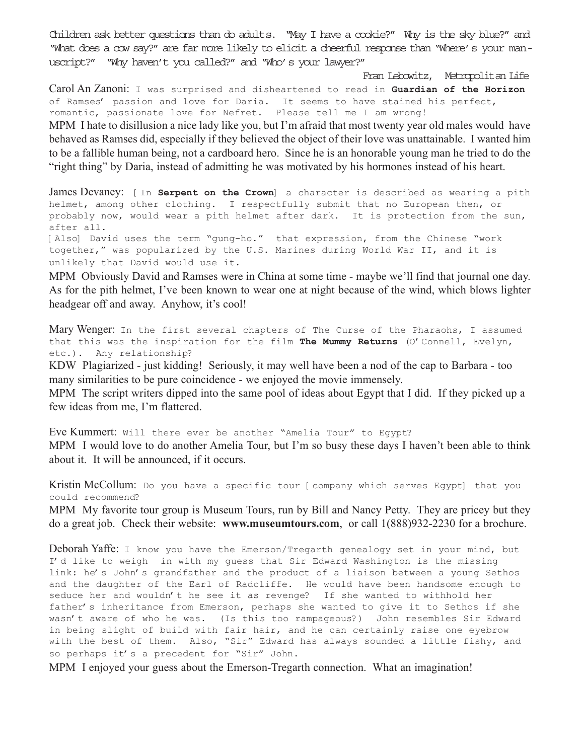Children ask better questions than do adults. "May I have a cookie?" Why is the sky blue?" and "What does a cow say?" are far more likely to elicit a cheerful response than "Where's your manuscript?" "Why haven't you called?" and "Who's your lawyer?"

Fran Lebowitz, Metropolitan Life Carol An Zanoni: I was surprised and disheartened to read in **Guardian of the Horizon** of Ramses' passion and love for Daria. It seems to have stained his perfect, romantic, passionate love for Nefret. Please tell me I am wrong! MPM I hate to disillusion a nice lady like you, but I'm afraid that most twenty year old males would have behaved as Ramses did, especially if they believed the object of their love was unattainable. I wanted him to be a fallible human being, not a cardboard hero. Since he is an honorable young man he tried to do the "right thing" by Daria, instead of admitting he was motivated by his hormones instead of his heart.

James Devaney: [In **Serpent on the Crown**] a character is described as wearing a pith helmet, among other clothing. I respectfully submit that no European then, or probably now, would wear a pith helmet after dark. It is protection from the sun, after all.

[Also] David uses the term "gung-ho." that expression, from the Chinese "work together," was popularized by the U.S. Marines during World War II, and it is unlikely that David would use it.

MPM Obviously David and Ramses were in China at some time - maybe we'll find that journal one day. As for the pith helmet, I've been known to wear one at night because of the wind, which blows lighter headgear off and away. Anyhow, it's cool!

Mary Wenger: In the first several chapters of The Curse of the Pharaohs, I assumed that this was the inspiration for the film **The Mummy Returns** (O'Connell, Evelyn, etc.). Any relationship?

KDW Plagiarized - just kidding! Seriously, it may well have been a nod of the cap to Barbara - too many similarities to be pure coincidence - we enjoyed the movie immensely.

MPM The script writers dipped into the same pool of ideas about Egypt that I did. If they picked up a few ideas from me, I'm flattered.

Eve Kummert: Will there ever be another "Amelia Tour" to Egypt? MPM I would love to do another Amelia Tour, but I'm so busy these days I haven't been able to think about it. It will be announced, if it occurs.

Kristin McCollum: Do you have a specific tour [ company which serves Egypt] that you could recommend?

MPM My favorite tour group is Museum Tours, run by Bill and Nancy Petty. They are pricey but they do a great job. Check their website: **www.museumtours.com**, or call 1(888)932-2230 for a brochure.

Deborah Yaffe: I know you have the Emerson/Tregarth genealogy set in your mind, but I'd like to weigh in with my guess that Sir Edward Washington is the missing link: he's John's grandfather and the product of a liaison between a young Sethos and the daughter of the Earl of Radcliffe. He would have been handsome enough to seduce her and wouldn't he see it as revenge? If she wanted to withhold her father's inheritance from Emerson, perhaps she wanted to give it to Sethos if she wasn't aware of who he was. (Is this too rampageous?) John resembles Sir Edward in being slight of build with fair hair, and he can certainly raise one eyebrow with the best of them. Also, "Sir" Edward has always sounded a little fishy, and so perhaps it's a precedent for "Sir" John.

MPM I enjoyed your guess about the Emerson-Tregarth connection. What an imagination!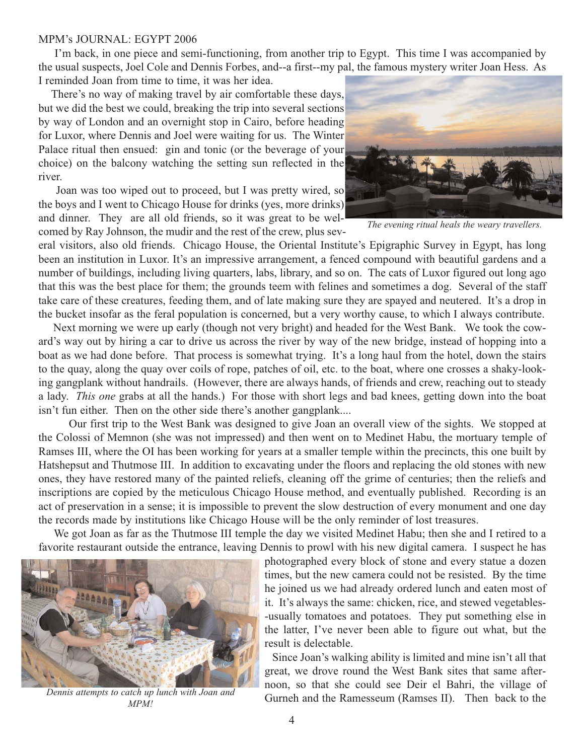## MPM's JOURNAL: EGYPT 2006

I'm back, in one piece and semi-functioning, from another trip to Egypt. This time I was accompanied by the usual suspects, Joel Cole and Dennis Forbes, and--a first--my pal, the famous mystery writer Joan Hess. As I reminded Joan from time to time, it was her idea.

There's no way of making travel by air comfortable these days, but we did the best we could, breaking the trip into several sections by way of London and an overnight stop in Cairo, before heading for Luxor, where Dennis and Joel were waiting for us. The Winter Palace ritual then ensued: gin and tonic (or the beverage of your choice) on the balcony watching the setting sun reflected in the river.

Joan was too wiped out to proceed, but I was pretty wired, so the boys and I went to Chicago House for drinks (yes, more drinks) and dinner. They are all old friends, so it was great to be welcomed by Ray Johnson, the mudir and the rest of the crew, plus sev-



*The evening ritual heals the weary travellers.*

eral visitors, also old friends. Chicago House, the Oriental Institute's Epigraphic Survey in Egypt, has long been an institution in Luxor. It's an impressive arrangement, a fenced compound with beautiful gardens and a number of buildings, including living quarters, labs, library, and so on. The cats of Luxor figured out long ago that this was the best place for them; the grounds teem with felines and sometimes a dog. Several of the staff take care of these creatures, feeding them, and of late making sure they are spayed and neutered. It's a drop in the bucket insofar as the feral population is concerned, but a very worthy cause, to which I always contribute.

Next morning we were up early (though not very bright) and headed for the West Bank. We took the coward's way out by hiring a car to drive us across the river by way of the new bridge, instead of hopping into a boat as we had done before. That process is somewhat trying. It's a long haul from the hotel, down the stairs to the quay, along the quay over coils of rope, patches of oil, etc. to the boat, where one crosses a shaky-looking gangplank without handrails. (However, there are always hands, of friends and crew, reaching out to steady a lady. *This one* grabs at all the hands.) For those with short legs and bad knees, getting down into the boat isn't fun either. Then on the other side there's another gangplank....

Our first trip to the West Bank was designed to give Joan an overall view of the sights. We stopped at the Colossi of Memnon (she was not impressed) and then went on to Medinet Habu, the mortuary temple of Ramses III, where the OI has been working for years at a smaller temple within the precincts, this one built by Hatshepsut and Thutmose III. In addition to excavating under the floors and replacing the old stones with new ones, they have restored many of the painted reliefs, cleaning off the grime of centuries; then the reliefs and inscriptions are copied by the meticulous Chicago House method, and eventually published. Recording is an act of preservation in a sense; it is impossible to prevent the slow destruction of every monument and one day the records made by institutions like Chicago House will be the only reminder of lost treasures.

We got Joan as far as the Thutmose III temple the day we visited Medinet Habu; then she and I retired to a favorite restaurant outside the entrance, leaving Dennis to prowl with his new digital camera. I suspect he has



*MPM!*

photographed every block of stone and every statue a dozen times, but the new camera could not be resisted. By the time he joined us we had already ordered lunch and eaten most of it. It's always the same: chicken, rice, and stewed vegetables- -usually tomatoes and potatoes. They put something else in the latter, I've never been able to figure out what, but the result is delectable.

Since Joan's walking ability is limited and mine isn't all that great, we drove round the West Bank sites that same afternoon, so that she could see Deir el Bahri, the village of Gurneh and the Ramesseum (Ramses II). Then back to the *Dennis attempts to catch up lunch with Joan and*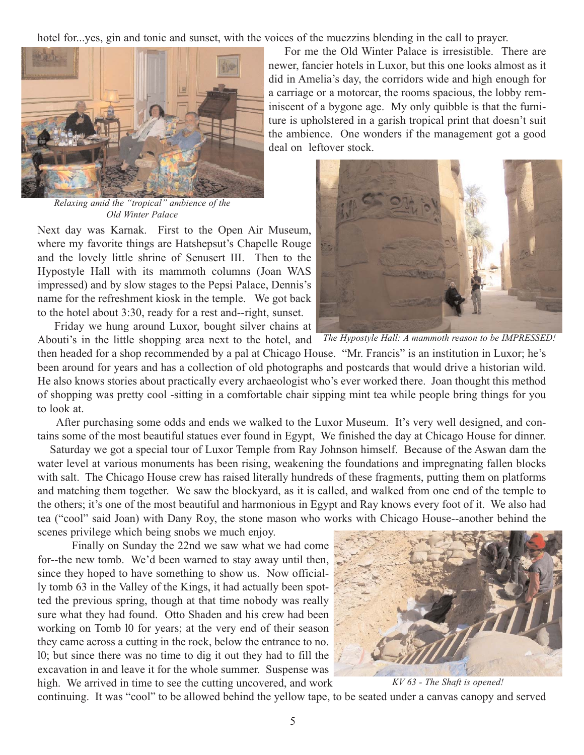hotel for...yes, gin and tonic and sunset, with the voices of the muezzins blending in the call to prayer.



*Relaxing amid the "tropical" ambience of the Old Winter Palace*

Next day was Karnak. First to the Open Air Museum, where my favorite things are Hatshepsut's Chapelle Rouge and the lovely little shrine of Senusert III. Then to the Hypostyle Hall with its mammoth columns (Joan WAS impressed) and by slow stages to the Pepsi Palace, Dennis's name for the refreshment kiosk in the temple. We got back to the hotel about 3:30, ready for a rest and--right, sunset.

Friday we hung around Luxor, bought silver chains at Abouti's in the little shopping area next to the hotel, and

then headed for a shop recommended by a pal at Chicago House. "Mr. Francis" is an institution in Luxor; he's been around for years and has a collection of old photographs and postcards that would drive a historian wild. He also knows stories about practically every archaeologist who's ever worked there. Joan thought this method of shopping was pretty cool -sitting in a comfortable chair sipping mint tea while people bring things for you to look at.

After purchasing some odds and ends we walked to the Luxor Museum. It's very well designed, and contains some of the most beautiful statues ever found in Egypt, We finished the day at Chicago House for dinner.

Saturday we got a special tour of Luxor Temple from Ray Johnson himself. Because of the Aswan dam the water level at various monuments has been rising, weakening the foundations and impregnating fallen blocks with salt. The Chicago House crew has raised literally hundreds of these fragments, putting them on platforms and matching them together. We saw the blockyard, as it is called, and walked from one end of the temple to the others; it's one of the most beautiful and harmonious in Egypt and Ray knows every foot of it. We also had tea ("cool" said Joan) with Dany Roy, the stone mason who works with Chicago House--another behind the scenes privilege which being snobs we much enjoy.

Finally on Sunday the 22nd we saw what we had come for--the new tomb. We'd been warned to stay away until then, since they hoped to have something to show us. Now officially tomb 63 in the Valley of the Kings, it had actually been spotted the previous spring, though at that time nobody was really sure what they had found. Otto Shaden and his crew had been working on Tomb l0 for years; at the very end of their season they came across a cutting in the rock, below the entrance to no. l0; but since there was no time to dig it out they had to fill the excavation in and leave it for the whole summer. Suspense was high. We arrived in time to see the cutting uncovered, and work



*KV 63 - The Shaft is opened!*

continuing. It was "cool" to be allowed behind the yellow tape, to be seated under a canvas canopy and served

For me the Old Winter Palace is irresistible. There are newer, fancier hotels in Luxor, but this one looks almost as it did in Amelia's day, the corridors wide and high enough for a carriage or a motorcar, the rooms spacious, the lobby reminiscent of a bygone age. My only quibble is that the furniture is upholstered in a garish tropical print that doesn't suit the ambience. One wonders if the management got a good deal on leftover stock.



*The Hypostyle Hall: A mammoth reason to be IMPRESSED!*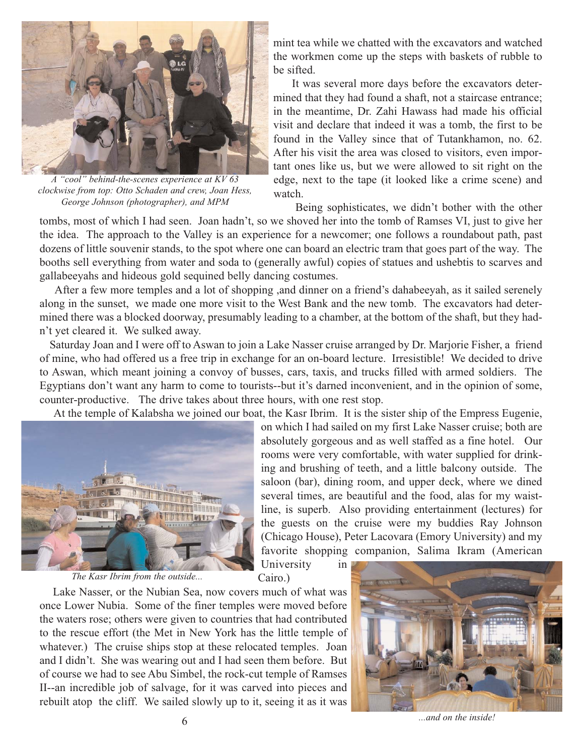

*A "cool" behind-the-scenes experience at KV 63 clockwise from top: Otto Schaden and crew, Joan Hess, George Johnson (photographer), and MPM*

mint tea while we chatted with the excavators and watched the workmen come up the steps with baskets of rubble to be sifted.

It was several more days before the excavators determined that they had found a shaft, not a staircase entrance; in the meantime, Dr. Zahi Hawass had made his official visit and declare that indeed it was a tomb, the first to be found in the Valley since that of Tutankhamon, no. 62. After his visit the area was closed to visitors, even important ones like us, but we were allowed to sit right on the edge, next to the tape (it looked like a crime scene) and watch.

Being sophisticates, we didn't bother with the other

tombs, most of which I had seen. Joan hadn't, so we shoved her into the tomb of Ramses VI, just to give her the idea. The approach to the Valley is an experience for a newcomer; one follows a roundabout path, past dozens of little souvenir stands, to the spot where one can board an electric tram that goes part of the way. The booths sell everything from water and soda to (generally awful) copies of statues and ushebtis to scarves and gallabeeyahs and hideous gold sequined belly dancing costumes.

After a few more temples and a lot of shopping ,and dinner on a friend's dahabeeyah, as it sailed serenely along in the sunset, we made one more visit to the West Bank and the new tomb. The excavators had determined there was a blocked doorway, presumably leading to a chamber, at the bottom of the shaft, but they hadn't yet cleared it. We sulked away.

Saturday Joan and I were off to Aswan to join a Lake Nasser cruise arranged by Dr. Marjorie Fisher, a friend of mine, who had offered us a free trip in exchange for an on-board lecture. Irresistible! We decided to drive to Aswan, which meant joining a convoy of busses, cars, taxis, and trucks filled with armed soldiers. The Egyptians don't want any harm to come to tourists--but it's darned inconvenient, and in the opinion of some, counter-productive. The drive takes about three hours, with one rest stop.

At the temple of Kalabsha we joined our boat, the Kasr Ibrim. It is the sister ship of the Empress Eugenie,



*The Kasr Ibrim from the outside...*

on which I had sailed on my first Lake Nasser cruise; both are absolutely gorgeous and as well staffed as a fine hotel. Our rooms were very comfortable, with water supplied for drinking and brushing of teeth, and a little balcony outside. The saloon (bar), dining room, and upper deck, where we dined several times, are beautiful and the food, alas for my waistline, is superb. Also providing entertainment (lectures) for the guests on the cruise were my buddies Ray Johnson (Chicago House), Peter Lacovara (Emory University) and my favorite shopping companion, Salima Ikram (American

University in Cairo.)

Lake Nasser, or the Nubian Sea, now covers much of what was once Lower Nubia. Some of the finer temples were moved before the waters rose; others were given to countries that had contributed to the rescue effort (the Met in New York has the little temple of whatever.) The cruise ships stop at these relocated temples. Joan and I didn't. She was wearing out and I had seen them before. But of course we had to see Abu Simbel, the rock-cut temple of Ramses II--an incredible job of salvage, for it was carved into pieces and rebuilt atop the cliff. We sailed slowly up to it, seeing it as it was



6 *...and on the inside!*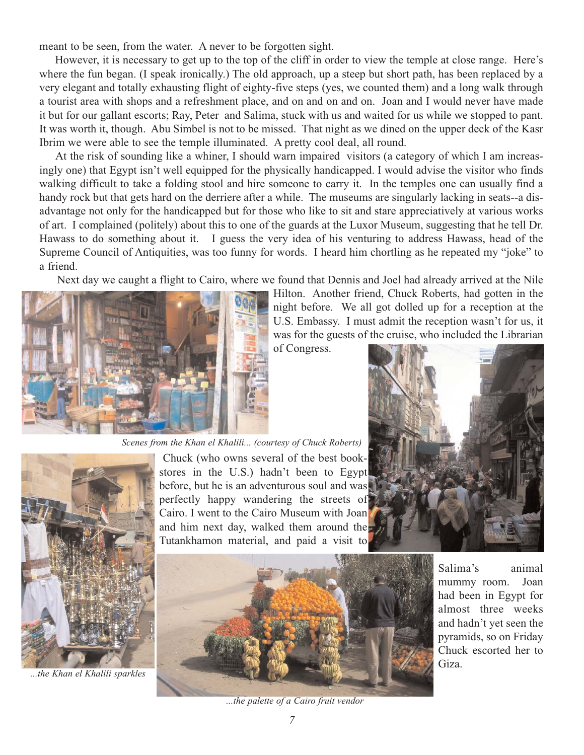meant to be seen, from the water. A never to be forgotten sight.

However, it is necessary to get up to the top of the cliff in order to view the temple at close range. Here's where the fun began. (I speak ironically.) The old approach, up a steep but short path, has been replaced by a very elegant and totally exhausting flight of eighty-five steps (yes, we counted them) and a long walk through a tourist area with shops and a refreshment place, and on and on and on. Joan and I would never have made it but for our gallant escorts; Ray, Peter and Salima, stuck with us and waited for us while we stopped to pant. It was worth it, though. Abu Simbel is not to be missed. That night as we dined on the upper deck of the Kasr Ibrim we were able to see the temple illuminated. A pretty cool deal, all round.

At the risk of sounding like a whiner, I should warn impaired visitors (a category of which I am increasingly one) that Egypt isn't well equipped for the physically handicapped. I would advise the visitor who finds walking difficult to take a folding stool and hire someone to carry it. In the temples one can usually find a handy rock but that gets hard on the derriere after a while. The museums are singularly lacking in seats--a disadvantage not only for the handicapped but for those who like to sit and stare appreciatively at various works of art. I complained (politely) about this to one of the guards at the Luxor Museum, suggesting that he tell Dr. Hawass to do something about it. I guess the very idea of his venturing to address Hawass, head of the Supreme Council of Antiquities, was too funny for words. I heard him chortling as he repeated my "joke" to a friend.

Next day we caught a flight to Cairo, where we found that Dennis and Joel had already arrived at the Nile



Hilton. Another friend, Chuck Roberts, had gotten in the night before. We all got dolled up for a reception at the U.S. Embassy. I must admit the reception wasn't for us, it was for the guests of the cruise, who included the Librarian

of Congress.





*...the Khan el Khalili sparkles*

Chuck (who owns several of the best bookstores in the U.S.) hadn't been to Egypt before, but he is an adventurous soul and was perfectly happy wandering the streets of Cairo. I went to the Cairo Museum with Joan and him next day, walked them around the Tutankhamon material, and paid a visit to *Scenes from the Khan el Khalili... (courtesy of Chuck Roberts)*



Salima's animal mummy room. Joan had been in Egypt for almost three weeks and hadn't yet seen the pyramids, so on Friday Chuck escorted her to Giza.

*...the palette of a Cairo fruit vendor*

*7*